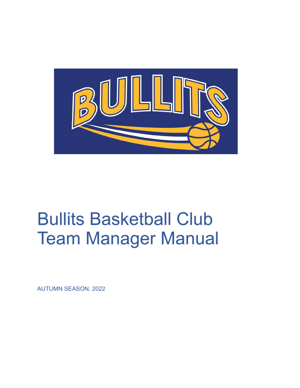

# **Bullits Basketball Club Team Manager Manual**

**AUTUMN SEASON, 2022**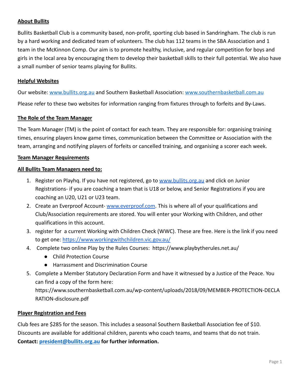# **About Bullits**

Bullits Basketball Club is a community based, non-profit, sporting club based in Sandringham. The club is run by a hard working and dedicated team of volunteers. The club has 112 teams in the SBA Association and 1 team in the McKinnon Comp. Our aim is to promote healthy, inclusive, and regular competition for boys and girls in the local area by encouraging them to develop their basketball skills to their full potential. We also have a small number of senior teams playing for Bullits.

# **Helpful Websites**

Our website: [www.bullits.org.au](http://www.bullits.org.au) and Southern Basketball Association: [www.southernbasketball.com.au](http://www.southernbasketball.com.au)

Please refer to these two websites for information ranging from fixtures through to forfeits and By-Laws.

# **The Role of the Team Manager**

The Team Manager (TM) is the point of contact for each team. They are responsible for: organising training times, ensuring players know game times, communication between the Committee or Association with the team, arranging and notifying players of forfeits or cancelled training, and organising a scorer each week.

#### **Team Manager Requirements**

# **All Bullits Team Managers need to:**

- 1. Register on Playhq. If you have not registered, go to [www.bullits.org.au](http://www.bullits.org.au) and click on Junior Registrations- if you are coaching a team that is U18 or below, and Senior Registrations if you are coaching an U20, U21 or U23 team.
- 2. Create an Everproof Account- [www.everproof.com.](http://www.everproof.com) This is where all of your qualifications and Club/Association requirements are stored. You will enter your Working with Children, and other qualifications in this account.
- 3. register for a current Working with Children Check (WWC). These are free. Here is the link if you need to get one: <https://www.workingwithchildren.vic.gov.au/>
- 4. Complete two online Play by the Rules Courses: https://www.playbytherules.net.au/
	- Child Protection Course
	- Harrassment and Discrimination Course
- 5. Complete a Member Statutory Declaration Form and have it witnessed by a Justice of the Peace. You can find a copy of the form here:

https://www.southernbasketball.com.au/wp-content/uploads/2018/09/MEMBER-PROTECTION-DECLA RATION-disclosure.pdf

# **Player Registration and Fees**

Club fees are \$285 for the season. This includes a seasonal Southern Basketball Association fee of \$10. Discounts are available for additional children, parents who coach teams, and teams that do not train. **Contact: [president@bullits.org.au](mailto:president@bullits.org.au) for further information.**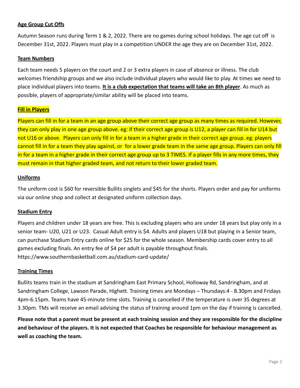# **Age Group Cut Offs**

Autumn Season runs during Term 1 & 2, 2022. There are no games during school holidays. The age cut off is December 31st, 2022. Players must play in a competition UNDER the age they are on December 31st, 2022.

### **Team Numbers**

Each team needs 5 players on the court and 2 or 3 extra players in case of absence or illness. The club welcomes friendship groups and we also include individual players who would like to play. At times we need to place individual players into teams. **It is a club expectation that teams will take an 8th player**. As much as possible, players of appropriate/similar ability will be placed into teams.

# **Fill in Players**

Players can fill in for a team in an age group above their correct age group as many times as required. However, they can only play in one age group above. eg: if their correct age group is U12, a player can fill in for U14 but not U16 or above. Players can only fill in for a team in a higher grade in their correct age group. eg: players cannot fill in for a team they play against, or for a lower grade team in the same age group. Players can only fill in for a team in a higher grade in their correct age group up to 3 TIMES. If a player fills in any more times, they must remain in that higher graded team, and not return to their lower graded team.

# **Uniforms**

The uniform cost is \$60 for reversible Bullits singlets and \$45 for the shorts. Players order and pay for uniforms via our online shop and collect at designated uniform collection days.

# **Stadium Entry**

Players and children under 18 years are free. This is excluding players who are under 18 years but play only in a senior team- U20, U21 or U23. Casual Adult entry is \$4. Adults and players U18 but playing in a Senior team, can purchase Stadium Entry cards online for \$25 for the whole season. Membership cards cover entry to all games excluding finals. An entry fee of \$4 per adult is payable throughout finals. https://www.southernbasketball.com.au/stadium-card-update/

#### **Training Times**

Bullits teams train in the stadium at Sandringham East Primary School, Holloway Rd, Sandringham, and at Sandringham College, Lawson Parade, Highett. Training times are Mondays – Thursdays:4 - 8.30pm and Fridays 4pm-6.15pm. Teams have 45-minute time slots. Training is cancelled if the temperature is over 35 degrees at 3.30pm. TMs will receive an email advising the status of training around 1pm on the day if training is cancelled.

**Please note that a parent must be present at each training session and they are responsible for the discipline and behaviour of the players. It is not expected that Coaches be responsible for behaviour management as well as coaching the team.**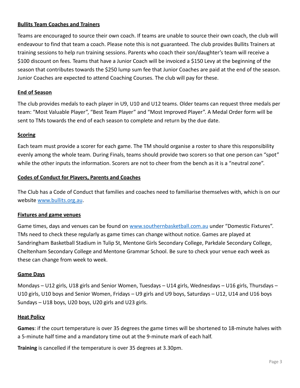# **Bullits Team Coaches and Trainers**

Teams are encouraged to source their own coach. If teams are unable to source their own coach, the club will endeavour to find that team a coach. Please note this is not guaranteed. The club provides Bullits Trainers at training sessions to help run training sessions. Parents who coach their son/daughter's team will receive a \$100 discount on fees. Teams that have a Junior Coach will be invoiced a \$150 Levy at the beginning of the season that contributes towards the \$250 lump sum fee that Junior Coaches are paid at the end of the season. Junior Coaches are expected to attend Coaching Courses. The club will pay for these.

# **End of Season**

The club provides medals to each player in U9, U10 and U12 teams. Older teams can request three medals per team: "Most Valuable Player", "Best Team Player" and "Most Improved Player". A Medal Order form will be sent to TMs towards the end of each season to complete and return by the due date.

# **Scoring**

Each team must provide a scorer for each game. The TM should organise a roster to share this responsibility evenly among the whole team. During Finals, teams should provide two scorers so that one person can "spot" while the other inputs the information. Scorers are not to cheer from the bench as it is a "neutral zone".

# **Codes of Conduct for Players, Parents and Coaches**

The Club has a Code of Conduct that families and coaches need to familiarise themselves with, which is on our website [www.bullits.org.au](http://www.bullits.org.au).

# **Fixtures and game venues**

Game times, days and venues can be found on [www.southernbasketball.com.au](http://www.southernbasketball.com.au) under "Domestic Fixtures". TMs need to check these regularly as game times can change without notice. Games are played at Sandringham Basketball Stadium in Tulip St, Mentone Girls Secondary College, Parkdale Secondary College, Cheltenham Secondary College and Mentone Grammar School. Be sure to check your venue each week as these can change from week to week.

# **Game Days**

Mondays – U12 girls, U18 girls and Senior Women, Tuesdays – U14 girls, Wednesdays – U16 girls, Thursdays – U10 girls, U10 boys and Senior Women, Fridays – U9 girls and U9 boys, Saturdays – U12, U14 and U16 boys Sundays – U18 boys, U20 boys, U20 girls and U23 girls.

#### **Heat Policy**

**Games**: if the court temperature is over 35 degrees the game times will be shortened to 18-minute halves with a 5-minute half time and a mandatory time out at the 9-minute mark of each half.

**Training** is cancelled if the temperature is over 35 degrees at 3.30pm.